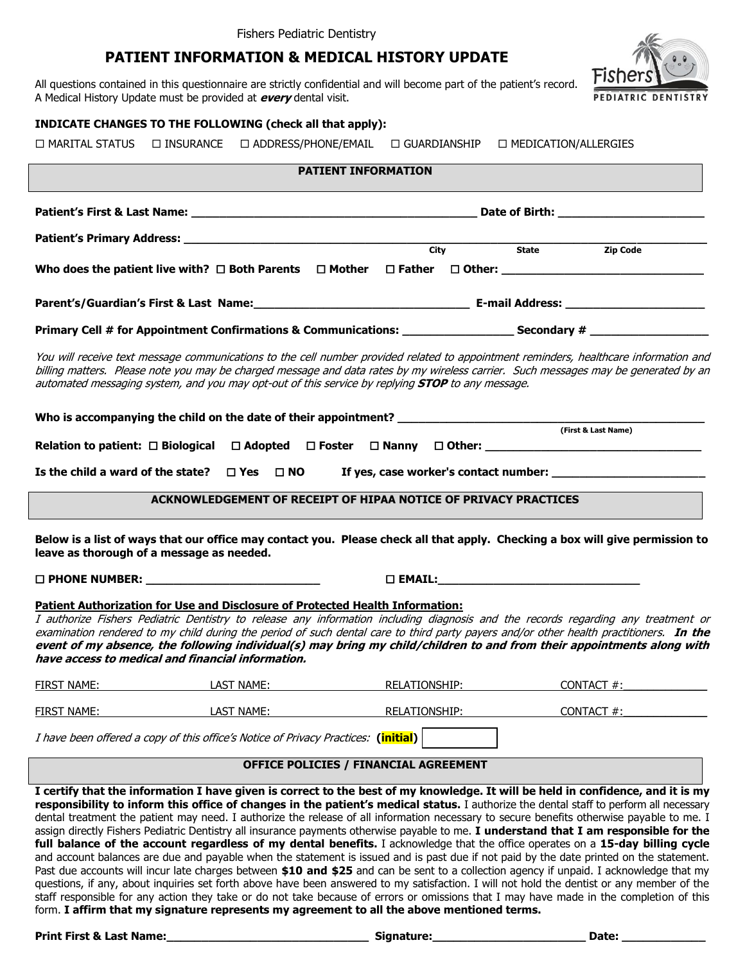# **PATIENT INFORMATION & MEDICAL HISTORY UPDATE**

All questions contained in this questionnaire are strictly confidential and will become part of the patient's record. A Medical History Update must be provided at **every** dental visit.

### **INDICATE CHANGES TO THE FOLLOWING (check all that apply):**

 $\Box$  MARITAL STATUS  $\Box$  INSURANCE  $\Box$  ADDRESS/PHONE/EMAIL  $\Box$  GUARDIANSHIP  $\Box$  MEDICATION/ALLERGIES

## **PATIENT INFORMATION**

|                                                                                                                                                                                                                                                                                                                                                                                         |                  |  | City State Zip Code |                     |
|-----------------------------------------------------------------------------------------------------------------------------------------------------------------------------------------------------------------------------------------------------------------------------------------------------------------------------------------------------------------------------------------|------------------|--|---------------------|---------------------|
|                                                                                                                                                                                                                                                                                                                                                                                         |                  |  |                     |                     |
|                                                                                                                                                                                                                                                                                                                                                                                         |                  |  |                     |                     |
| Primary Cell # for Appointment Confirmations & Communications: ___________________ Secondary # _______________                                                                                                                                                                                                                                                                          |                  |  |                     |                     |
| You will receive text message communications to the cell number provided related to appointment reminders, healthcare information and<br>billing matters. Please note you may be charged message and data rates by my wireless carrier. Such messages may be generated by an<br>automated messaging system, and you may opt-out of this service by replying <b>STOP</b> to any message. |                  |  |                     |                     |
|                                                                                                                                                                                                                                                                                                                                                                                         |                  |  |                     | (First & Last Name) |
|                                                                                                                                                                                                                                                                                                                                                                                         |                  |  |                     |                     |
| Is the child a ward of the state? $\Box$ Yes $\Box$ NO                                                                                                                                                                                                                                                                                                                                  |                  |  |                     |                     |
| ACKNOWLEDGEMENT OF RECEIPT OF HIPAA NOTICE OF PRIVACY PRACTICES                                                                                                                                                                                                                                                                                                                         |                  |  |                     |                     |
| Below is a list of ways that our office may contact you. Please check all that apply. Checking a box will give permission to<br>leave as thorough of a message as needed.                                                                                                                                                                                                               |                  |  |                     |                     |
| $\square$ PHONE NUMBER:                                                                                                                                                                                                                                                                                                                                                                 | $\square$ EMAIL: |  |                     |                     |

#### **Patient Authorization for Use and Disclosure of Protected Health Information:**

I authorize Fishers Pediatric Dentistry to release any information including diagnosis and the records regarding any treatment or examination rendered to my child during the period of such dental care to third party payers and/or other health practitioners. **In the event of my absence, the following individual(s) may bring my child/children to and from their appointments along with have access to medical and financial information.** 

| <b>FIRST NAME:</b> | LAST NAME: | RELATIONSHIP: | CONTACT #: |
|--------------------|------------|---------------|------------|
| <b>FIRST NAME:</b> | LAST NAME: | RELATIONSHIP: | CONTACT #: |
|                    |            |               |            |

I have been offered a copy of this office's Notice of Privacy Practices: **(initial)** 

#### **OFFICE POLICIES / FINANCIAL AGREEMENT**

**I certify that the information I have given is correct to the best of my knowledge. It will be held in confidence, and it is my responsibility to inform this office of changes in the patient's medical status.** I authorize the dental staff to perform all necessary dental treatment the patient may need. I authorize the release of all information necessary to secure benefits otherwise payable to me. I assign directly Fishers Pediatric Dentistry all insurance payments otherwise payable to me. **I understand that I am responsible for the full balance of the account regardless of my dental benefits.** I acknowledge that the office operates on a **15-day billing cycle** and account balances are due and payable when the statement is issued and is past due if not paid by the date printed on the statement. Past due accounts will incur late charges between **\$10 and \$25** and can be sent to a collection agency if unpaid. I acknowledge that my questions, if any, about inquiries set forth above have been answered to my satisfaction. I will not hold the dentist or any member of the staff responsible for any action they take or do not take because of errors or omissions that I may have made in the completion of this form. **I affirm that my signature represents my agreement to all the above mentioned terms.**

**Print First & Last Name:** The Communication of the Signature: The Communication of the Communication of the Communication of the Communication of the Communication of the Communication of the Communication of the Communic